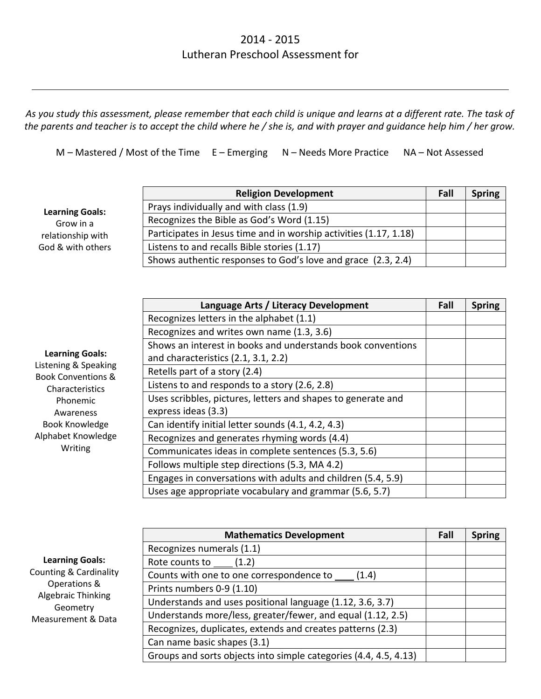## 2014 - 2015 Lutheran Preschool Assessment for

*As you study this assessment, please remember that each child is unique and learns at a different rate. The task of the parents and teacher is to accept the child where he / she is, and with prayer and guidance help him / her grow.* 

 $M$  – Mastered / Most of the Time  $E$  – Emerging  $N$  – Needs More Practice  $NA$  – Not Assessed

**Learning Goals:** Grow in a relationship with God & with others

| <b>Religion Development</b>                                       | Fall | <b>Spring</b> |
|-------------------------------------------------------------------|------|---------------|
| Prays individually and with class (1.9)                           |      |               |
| Recognizes the Bible as God's Word (1.15)                         |      |               |
| Participates in Jesus time and in worship activities (1.17, 1.18) |      |               |
| Listens to and recalls Bible stories (1.17)                       |      |               |
| Shows authentic responses to God's love and grace (2.3, 2.4)      |      |               |

|                                                       | Language Arts / Literacy Development                         | Fall | <b>Spring</b> |
|-------------------------------------------------------|--------------------------------------------------------------|------|---------------|
|                                                       | Recognizes letters in the alphabet (1.1)                     |      |               |
|                                                       | Recognizes and writes own name (1.3, 3.6)                    |      |               |
|                                                       | Shows an interest in books and understands book conventions  |      |               |
| <b>Learning Goals:</b>                                | and characteristics (2.1, 3.1, 2.2)                          |      |               |
| Listening & Speaking<br><b>Book Conventions &amp;</b> | Retells part of a story (2.4)                                |      |               |
| Characteristics                                       | Listens to and responds to a story (2.6, 2.8)                |      |               |
| Phonemic                                              | Uses scribbles, pictures, letters and shapes to generate and |      |               |
| Awareness                                             | express ideas (3.3)                                          |      |               |
| <b>Book Knowledge</b>                                 | Can identify initial letter sounds (4.1, 4.2, 4.3)           |      |               |
| Alphabet Knowledge                                    | Recognizes and generates rhyming words (4.4)                 |      |               |
| Writing                                               | Communicates ideas in complete sentences (5.3, 5.6)          |      |               |
|                                                       | Follows multiple step directions (5.3, MA 4.2)               |      |               |
|                                                       | Engages in conversations with adults and children (5.4, 5.9) |      |               |
|                                                       | Uses age appropriate vocabulary and grammar (5.6, 5.7)       |      |               |

#### **Learning Goals:**

Counting & Cardinality Operations & Algebraic Thinking Geometry Measurement & Data

| <b>Mathematics Development</b>                                   | Fall | <b>Spring</b> |
|------------------------------------------------------------------|------|---------------|
| Recognizes numerals (1.1)                                        |      |               |
| Rote counts to $(1.2)$                                           |      |               |
| Counts with one to one correspondence to<br>(1.4)                |      |               |
| Prints numbers 0-9 (1.10)                                        |      |               |
| Understands and uses positional language (1.12, 3.6, 3.7)        |      |               |
| Understands more/less, greater/fewer, and equal (1.12, 2.5)      |      |               |
| Recognizes, duplicates, extends and creates patterns (2.3)       |      |               |
| Can name basic shapes (3.1)                                      |      |               |
| Groups and sorts objects into simple categories (4.4, 4.5, 4.13) |      |               |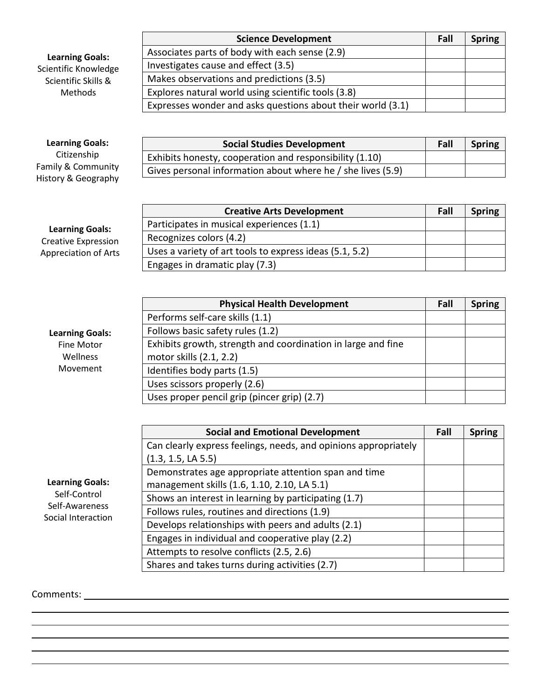**Learning Goals:** Scientific Knowledge Scientific Skills & Methods

| <b>Science Development</b>                                  | Fall | <b>Spring</b> |
|-------------------------------------------------------------|------|---------------|
| Associates parts of body with each sense (2.9)              |      |               |
| Investigates cause and effect (3.5)                         |      |               |
| Makes observations and predictions (3.5)                    |      |               |
| Explores natural world using scientific tools (3.8)         |      |               |
| Expresses wonder and asks questions about their world (3.1) |      |               |

## **Learning Goals:** Citizenship

Family & Community History & Geography

| <b>Social Studies Development</b>                           | Fall | <b>Spring</b> |
|-------------------------------------------------------------|------|---------------|
| Exhibits honesty, cooperation and responsibility (1.10)     |      |               |
| Gives personal information about where he / she lives (5.9) |      |               |

| <b>Learning Goals:</b>      |
|-----------------------------|
| <b>Creative Expression</b>  |
| <b>Appreciation of Arts</b> |

| <b>Creative Arts Development</b>                        | Fall | <b>Spring</b> |
|---------------------------------------------------------|------|---------------|
| Participates in musical experiences (1.1)               |      |               |
| Recognizes colors (4.2)                                 |      |               |
| Uses a variety of art tools to express ideas (5.1, 5.2) |      |               |
| Engages in dramatic play (7.3)                          |      |               |

| <b>Physical Health Development</b>                           | Fall | <b>Spring</b> |
|--------------------------------------------------------------|------|---------------|
| Performs self-care skills (1.1)                              |      |               |
| Follows basic safety rules (1.2)                             |      |               |
| Exhibits growth, strength and coordination in large and fine |      |               |
| motor skills (2.1, 2.2)                                      |      |               |
| Identifies body parts (1.5)                                  |      |               |
| Uses scissors properly (2.6)                                 |      |               |
| Uses proper pencil grip (pincer grip) (2.7)                  |      |               |

| <b>Social and Emotional Development</b>                         | Fall | <b>Spring</b> |
|-----------------------------------------------------------------|------|---------------|
| Can clearly express feelings, needs, and opinions appropriately |      |               |
| (1.3, 1.5, LA 5.5)                                              |      |               |
| Demonstrates age appropriate attention span and time            |      |               |
| management skills (1.6, 1.10, 2.10, LA 5.1)                     |      |               |
| Shows an interest in learning by participating (1.7)            |      |               |
| Follows rules, routines and directions (1.9)                    |      |               |
| Develops relationships with peers and adults (2.1)              |      |               |
| Engages in individual and cooperative play (2.2)                |      |               |
| Attempts to resolve conflicts (2.5, 2.6)                        |      |               |
| Shares and takes turns during activities (2.7)                  |      |               |

### Comments:

**Learning Goals:** Fine Motor Wellness Movement

**Learning Goals:** Self-Control Self-Awareness Social Interaction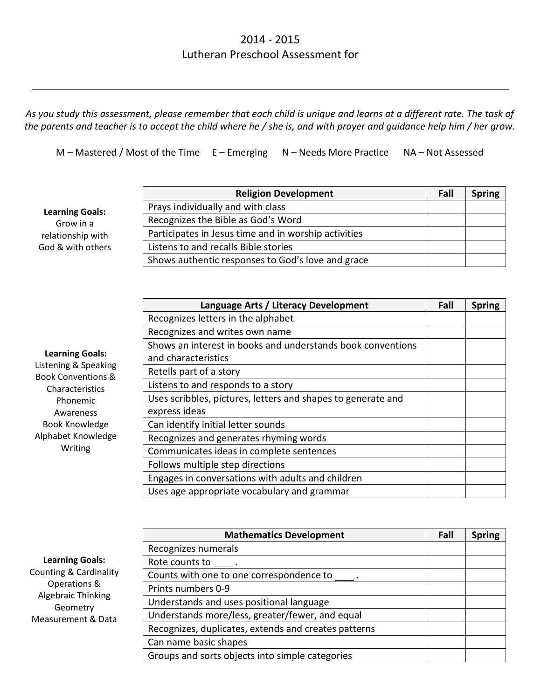## 2014 - 2015 Lutheran Preschool Assessment for

*As you study this assessment, please remember that each child is unique and learns at a different rate. The task of the parents and teacher is to accept the child where he / she is, and with prayer and guidance help him / her grow.* 

 $M$  – Mastered / Most of the Time  $E$  – Emerging  $N$  – Needs More Practice  $NA$  – Not Assessed

**Learning Goals:** Grow in a relationship with God & with others

**Learning Goals:** Listening & Speaking Book Conventions & Characteristics Phonemic Awareness Book Knowledge Alphabet Knowledge Writing

| <b>Religion Development</b>                          | Fall | <b>Spring</b> |
|------------------------------------------------------|------|---------------|
| Prays individually and with class                    |      |               |
| Recognizes the Bible as God's Word                   |      |               |
| Participates in Jesus time and in worship activities |      |               |
| Listens to and recalls Bible stories                 |      |               |
| Shows authentic responses to God's love and grace    |      |               |

| Language Arts / Literacy Development                         | Fall | <b>Spring</b> |
|--------------------------------------------------------------|------|---------------|
| Recognizes letters in the alphabet                           |      |               |
| Recognizes and writes own name                               |      |               |
| Shows an interest in books and understands book conventions  |      |               |
| and characteristics                                          |      |               |
| Retells part of a story                                      |      |               |
| Listens to and responds to a story                           |      |               |
| Uses scribbles, pictures, letters and shapes to generate and |      |               |
| express ideas                                                |      |               |
| Can identify initial letter sounds                           |      |               |
| Recognizes and generates rhyming words                       |      |               |
| Communicates ideas in complete sentences                     |      |               |
| Follows multiple step directions                             |      |               |
| Engages in conversations with adults and children            |      |               |
| Uses age appropriate vocabulary and grammar                  |      |               |
|                                                              |      |               |

| <b>Learning Goals:</b>         |  |  |
|--------------------------------|--|--|
| a constitution of constitution |  |  |

Counting & Cardinality Operations & Algebraic Thinking Geometry Measurement & Data

| <b>Mathematics Development</b>                       | Fall | <b>Spring</b> |
|------------------------------------------------------|------|---------------|
| Recognizes numerals                                  |      |               |
| Rote counts to                                       |      |               |
| Counts with one to one correspondence to             |      |               |
| Prints numbers 0-9                                   |      |               |
| Understands and uses positional language             |      |               |
| Understands more/less, greater/fewer, and equal      |      |               |
| Recognizes, duplicates, extends and creates patterns |      |               |
| Can name basic shapes                                |      |               |
| Groups and sorts objects into simple categories      |      |               |